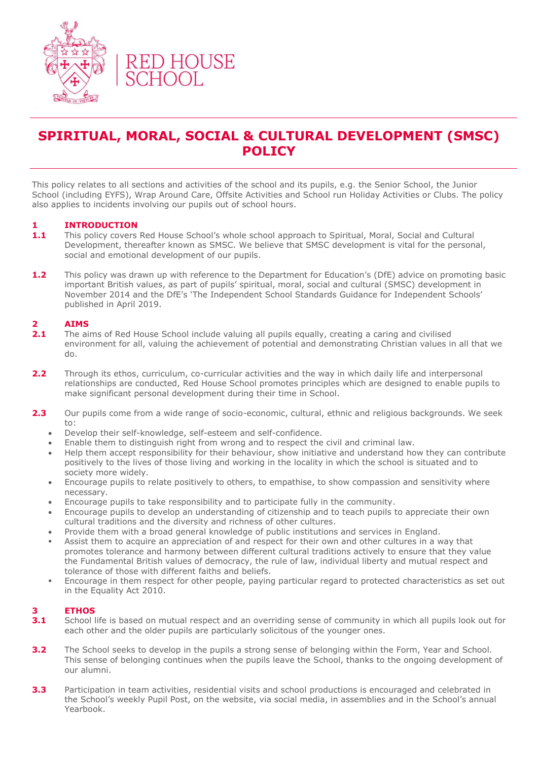

### **SPIRITUAL, MORAL, SOCIAL & CULTURAL DEVELOPMENT (SMSC) POLICY**

This policy relates to all sections and activities of the school and its pupils, e.g. the Senior School, the Junior School (including EYFS), Wrap Around Care, Offsite Activities and School run Holiday Activities or Clubs. The policy also applies to incidents involving our pupils out of school hours.

### **1 INTRODUCTION**

- 1.1 This policy covers Red House School's whole school approach to Spiritual, Moral, Social and Cultural Development, thereafter known as SMSC. We believe that SMSC development is vital for the personal, social and emotional development of our pupils.
- **1.2** This policy was drawn up with reference to the Department for Education's (DfE) advice on promoting basic important British values, as part of pupils' spiritual, moral, social and cultural (SMSC) development in November 2014 and the DfE's 'The Independent School Standards Guidance for Independent Schools' published in April 2019.

### **2 AIMS**

- **2.1** The aims of Red House School include valuing all pupils equally, creating a caring and civilised environment for all, valuing the achievement of potential and demonstrating Christian values in all that we do.
- **2.2** Through its ethos, curriculum, co-curricular activities and the way in which daily life and interpersonal relationships are conducted, Red House School promotes principles which are designed to enable pupils to make significant personal development during their time in School.
- **2.3** Our pupils come from a wide range of socio-economic, cultural, ethnic and religious backgrounds. We seek to:
	- Develop their self-knowledge, self-esteem and self-confidence.
	- Enable them to distinguish right from wrong and to respect the civil and criminal law.
	- Help them accept responsibility for their behaviour, show initiative and understand how they can contribute positively to the lives of those living and working in the locality in which the school is situated and to society more widely.
	- Encourage pupils to relate positively to others, to empathise, to show compassion and sensitivity where necessary.
	- Encourage pupils to take responsibility and to participate fully in the community.
	- Encourage pupils to develop an understanding of citizenship and to teach pupils to appreciate their own cultural traditions and the diversity and richness of other cultures.
	- Provide them with a broad general knowledge of public institutions and services in England.
	- Assist them to acquire an appreciation of and respect for their own and other cultures in a way that promotes tolerance and harmony between different cultural traditions actively to ensure that they value the Fundamental British values of democracy, the rule of law, individual liberty and mutual respect and tolerance of those with different faiths and beliefs.
	- Encourage in them respect for other people, paying particular regard to protected characteristics as set out in the Equality Act 2010.

### **3 ETHOS**

- **3.1** School life is based on mutual respect and an overriding sense of community in which all pupils look out for each other and the older pupils are particularly solicitous of the younger ones.
- **3.2** The School seeks to develop in the pupils a strong sense of belonging within the Form, Year and School. This sense of belonging continues when the pupils leave the School, thanks to the ongoing development of our alumni.
- **3.3** Participation in team activities, residential visits and school productions is encouraged and celebrated in the School's weekly Pupil Post, on the website, via social media, in assemblies and in the School's annual Yearbook.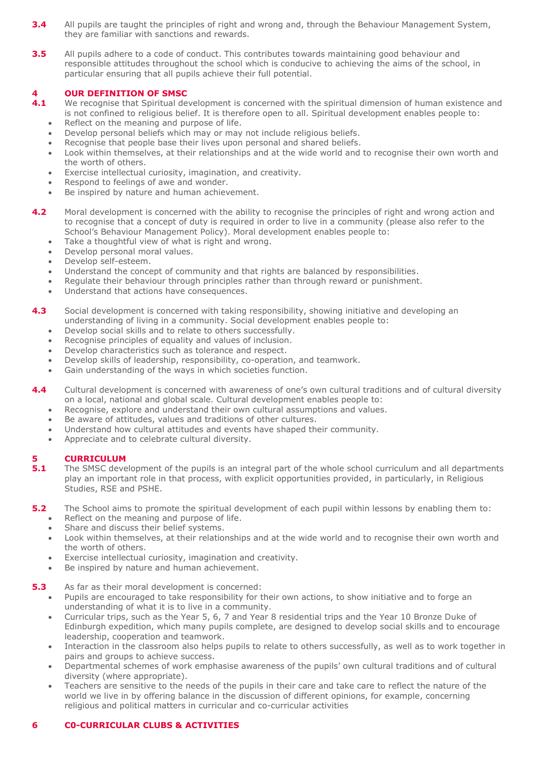- **3.4** All pupils are taught the principles of right and wrong and, through the Behaviour Management System, they are familiar with sanctions and rewards.
- **3.5** All pupils adhere to a code of conduct. This contributes towards maintaining good behaviour and responsible attitudes throughout the school which is conducive to achieving the aims of the school, in particular ensuring that all pupils achieve their full potential.

## **4 OUR DEFINITION OF SMSC**<br>**4.1** We recognise that Spiritual de

- We recognise that Spiritual development is concerned with the spiritual dimension of human existence and is not confined to religious belief. It is therefore open to all. Spiritual development enables people to:
	- Reflect on the meaning and purpose of life.
	- Develop personal beliefs which may or may not include religious beliefs.
	- Recognise that people base their lives upon personal and shared beliefs. • Look within themselves, at their relationships and at the wide world and to recognise their own worth and the worth of others.
	- Exercise intellectual curiosity, imagination, and creativity.
	- Respond to feelings of awe and wonder.
	- Be inspired by nature and human achievement.
- **4.2** Moral development is concerned with the ability to recognise the principles of right and wrong action and to recognise that a concept of duty is required in order to live in a community (please also refer to the School's Behaviour Management Policy). Moral development enables people to:
	- Take a thoughtful view of what is right and wrong.
	- Develop personal moral values.
	- Develop self-esteem.
	- Understand the concept of community and that rights are balanced by responsibilities.
	- Regulate their behaviour through principles rather than through reward or punishment.
	- Understand that actions have consequences.
- **4.3** Social development is concerned with taking responsibility, showing initiative and developing an understanding of living in a community. Social development enables people to:
	- Develop social skills and to relate to others successfully.
	- Recognise principles of equality and values of inclusion.
	- Develop characteristics such as tolerance and respect.
	- Develop skills of leadership, responsibility, co-operation, and teamwork.
	- Gain understanding of the ways in which societies function.
- **4.4** Cultural development is concerned with awareness of one's own cultural traditions and of cultural diversity on a local, national and global scale. Cultural development enables people to:
	- Recognise, explore and understand their own cultural assumptions and values.
	- Be aware of attitudes, values and traditions of other cultures.
	- Understand how cultural attitudes and events have shaped their community.
	- Appreciate and to celebrate cultural diversity.

### **5 CURRICULUM**

- **5.1** The SMSC development of the pupils is an integral part of the whole school curriculum and all departments play an important role in that process, with explicit opportunities provided, in particularly, in Religious Studies, RSE and PSHE.
- **5.2** The School aims to promote the spiritual development of each pupil within lessons by enabling them to:
	- Reflect on the meaning and purpose of life.
	- Share and discuss their belief systems.
	- Look within themselves, at their relationships and at the wide world and to recognise their own worth and the worth of others.
	- Exercise intellectual curiosity, imagination and creativity.
	- Be inspired by nature and human achievement.
- **5.3** As far as their moral development is concerned:
	- Pupils are encouraged to take responsibility for their own actions, to show initiative and to forge an understanding of what it is to live in a community.
	- Curricular trips, such as the Year 5, 6, 7 and Year 8 residential trips and the Year 10 Bronze Duke of Edinburgh expedition, which many pupils complete, are designed to develop social skills and to encourage leadership, cooperation and teamwork.
	- Interaction in the classroom also helps pupils to relate to others successfully, as well as to work together in pairs and groups to achieve success.
	- Departmental schemes of work emphasise awareness of the pupils' own cultural traditions and of cultural diversity (where appropriate).
	- Teachers are sensitive to the needs of the pupils in their care and take care to reflect the nature of the world we live in by offering balance in the discussion of different opinions, for example, concerning religious and political matters in curricular and co-curricular activities

### **6 C0-CURRICULAR CLUBS & ACTIVITIES**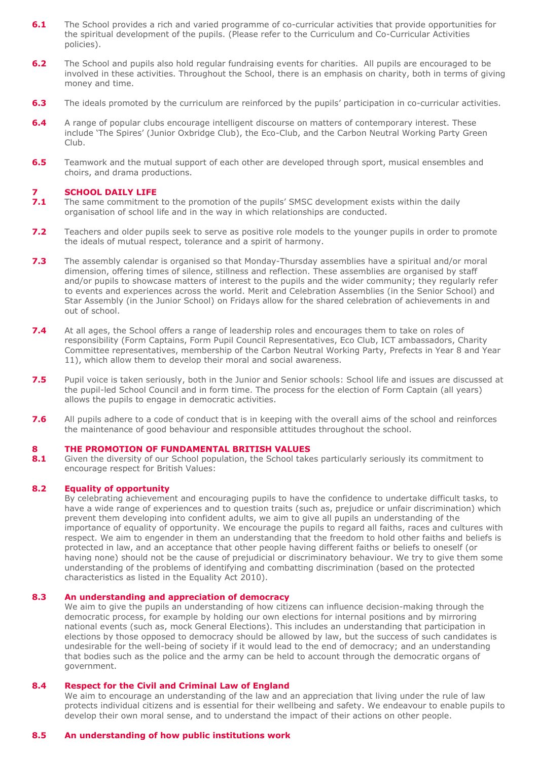- **6.1** The School provides a rich and varied programme of co-curricular activities that provide opportunities for the spiritual development of the pupils. (Please refer to the Curriculum and Co-Curricular Activities policies).
- **6.2** The School and pupils also hold regular fundraising events for charities. All pupils are encouraged to be involved in these activities. Throughout the School, there is an emphasis on charity, both in terms of giving money and time.
- **6.3** The ideals promoted by the curriculum are reinforced by the pupils' participation in co-curricular activities.
- **6.4** A range of popular clubs encourage intelligent discourse on matters of contemporary interest. These include 'The Spires' (Junior Oxbridge Club), the Eco-Club, and the Carbon Neutral Working Party Green Club.
- **6.5** Teamwork and the mutual support of each other are developed through sport, musical ensembles and choirs, and drama productions.

# **7.1 SCHOOL DAILY LIFE**<br>**7.1** The same commitment

- **7.1** The same commitment to the promotion of the pupils' SMSC development exists within the daily organisation of school life and in the way in which relationships are conducted.
- **7.2** Teachers and older pupils seek to serve as positive role models to the younger pupils in order to promote the ideals of mutual respect, tolerance and a spirit of harmony.
- **7.3** The assembly calendar is organised so that Monday-Thursday assemblies have a spiritual and/or moral dimension, offering times of silence, stillness and reflection. These assemblies are organised by staff and/or pupils to showcase matters of interest to the pupils and the wider community; they regularly refer to events and experiences across the world. Merit and Celebration Assemblies (in the Senior School) and Star Assembly (in the Junior School) on Fridays allow for the shared celebration of achievements in and out of school.
- **7.4** At all ages, the School offers a range of leadership roles and encourages them to take on roles of responsibility (Form Captains, Form Pupil Council Representatives, Eco Club, ICT ambassadors, Charity Committee representatives, membership of the Carbon Neutral Working Party, Prefects in Year 8 and Year 11), which allow them to develop their moral and social awareness.
- **7.5** Pupil voice is taken seriously, both in the Junior and Senior schools: School life and issues are discussed at the pupil-led School Council and in form time. The process for the election of Form Captain (all years) allows the pupils to engage in democratic activities.
- **7.6** All pupils adhere to a code of conduct that is in keeping with the overall aims of the school and reinforces the maintenance of good behaviour and responsible attitudes throughout the school.

### **8 THE PROMOTION OF FUNDAMENTAL BRITISH VALUES**

**8.1** Given the diversity of our School population, the School takes particularly seriously its commitment to encourage respect for British Values:

### **8.2 Equality of opportunity**

By celebrating achievement and encouraging pupils to have the confidence to undertake difficult tasks, to have a wide range of experiences and to question traits (such as, prejudice or unfair discrimination) which prevent them developing into confident adults, we aim to give all pupils an understanding of the importance of equality of opportunity. We encourage the pupils to regard all faiths, races and cultures with respect. We aim to engender in them an understanding that the freedom to hold other faiths and beliefs is protected in law, and an acceptance that other people having different faiths or beliefs to oneself (or having none) should not be the cause of prejudicial or discriminatory behaviour. We try to give them some understanding of the problems of identifying and combatting discrimination (based on the protected characteristics as listed in the Equality Act 2010).

### **8.3 An understanding and appreciation of democracy**

We aim to give the pupils an understanding of how citizens can influence decision-making through the democratic process, for example by holding our own elections for internal positions and by mirroring national events (such as, mock General Elections). This includes an understanding that participation in elections by those opposed to democracy should be allowed by law, but the success of such candidates is undesirable for the well-being of society if it would lead to the end of democracy; and an understanding that bodies such as the police and the army can be held to account through the democratic organs of government.

#### **8.4 Respect for the Civil and Criminal Law of England**

We aim to encourage an understanding of the law and an appreciation that living under the rule of law protects individual citizens and is essential for their wellbeing and safety. We endeavour to enable pupils to develop their own moral sense, and to understand the impact of their actions on other people.

### **8.5 An understanding of how public institutions work**